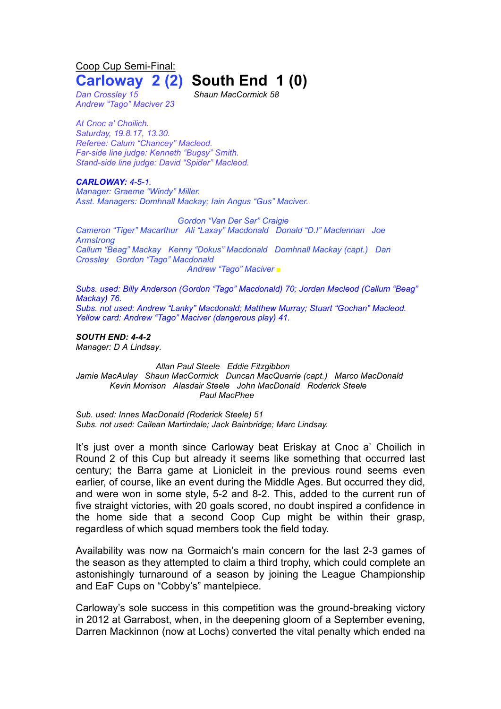Coop Cup Semi-Final:

## **Carloway 2 (2) South End 1 (0)**

*Dan Crossley 15 Shaun MacCormick 58 Andrew "Tago" Maciver 23*

*At Cnoc a' Choilich. Saturday, 19.8.17, 13.30. Referee: Calum "Chancey" Macleod. Far-side line judge: Kenneth "Bugsy" Smith. Stand-side line judge: David "Spider" Macleod.*

*CARLOWAY: 4-5-1.*

*Manager: Graeme "Windy" Miller. Asst. Managers: Domhnall Mackay; Iain Angus "Gus" Maciver.*

*Gordon "Van Der Sar" Craigie Cameron "Tiger" Macarthur Ali "Laxay" Macdonald Donald "D.I" Maclennan Joe Armstrong Callum "Beag" Mackay Kenny "Dokus" Macdonald Domhnall Mackay (capt.) Dan Crossley Gordon "Tago" Macdonald Andrew "Tago" Maciver ■*

*Subs. used: Billy Anderson (Gordon "Tago" Macdonald) 70; Jordan Macleod (Callum "Beag" Mackay) 76. Subs. not used: Andrew "Lanky" Macdonald; Matthew Murray; Stuart "Gochan" Macleod. Yellow card: Andrew "Tago" Maciver (dangerous play) 41.*

*SOUTH END: 4-4-2 Manager: D A Lindsay.*

*Allan Paul Steele Eddie Fitzgibbon Jamie MacAulay Shaun MacCormick Duncan MacQuarrie (capt.) Marco MacDonald Kevin Morrison Alasdair Steele John MacDonald Roderick Steele Paul MacPhee*

*Sub. used: Innes MacDonald (Roderick Steele) 51 Subs. not used: Cailean Martindale; Jack Bainbridge; Marc Lindsay.*

It's just over a month since Carloway beat Eriskay at Cnoc a' Choilich in Round 2 of this Cup but already it seems like something that occurred last century; the Barra game at Lionicleit in the previous round seems even earlier, of course, like an event during the Middle Ages. But occurred they did, and were won in some style, 5-2 and 8-2. This, added to the current run of five straight victories, with 20 goals scored, no doubt inspired a confidence in the home side that a second Coop Cup might be within their grasp, regardless of which squad members took the field today.

Availability was now na Gormaich's main concern for the last 2-3 games of the season as they attempted to claim a third trophy, which could complete an astonishingly turnaround of a season by joining the League Championship and EaF Cups on "Cobby's" mantelpiece.

Carloway's sole success in this competition was the ground-breaking victory in 2012 at Garrabost, when, in the deepening gloom of a September evening, Darren Mackinnon (now at Lochs) converted the vital penalty which ended na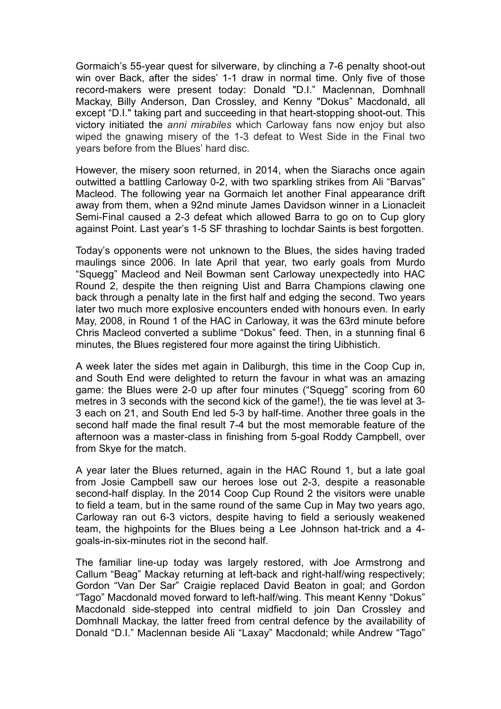Gormaich's 55-year quest for silverware, by clinching a 7-6 penalty shoot-out win over Back, after the sides' 1-1 draw in normal time. Only five of those record-makers were present today: Donald "D.I." Maclennan, Domhnall Mackay, Billy Anderson, Dan Crossley, and Kenny "Dokus" Macdonald, all except "D.I." taking part and succeeding in that heart-stopping shoot-out. This victory initiated the *anni mirabiles* which Carloway fans now enjoy but also wiped the gnawing misery of the 1-3 defeat to West Side in the Final two years before from the Blues' hard disc.

However, the misery soon returned, in 2014, when the Siarachs once again outwitted a battling Carloway 0-2, with two sparkling strikes from Ali "Barvas" Macleod. The following year na Gormaich let another Final appearance drift away from them, when a 92nd minute James Davidson winner in a Lionacleit Semi-Final caused a 2-3 defeat which allowed Barra to go on to Cup glory against Point. Last year's 1-5 SF thrashing to Iochdar Saints is best forgotten.

Today's opponents were not unknown to the Blues, the sides having traded maulings since 2006. In late April that year, two early goals from Murdo "Squegg" Macleod and Neil Bowman sent Carloway unexpectedly into HAC Round 2, despite the then reigning Uist and Barra Champions clawing one back through a penalty late in the first half and edging the second. Two years later two much more explosive encounters ended with honours even. In early May, 2008, in Round 1 of the HAC in Carloway, it was the 63rd minute before Chris Macleod converted a sublime "Dokus" feed. Then, in a stunning final 6 minutes, the Blues registered four more against the tiring Uibhistich.

A week later the sides met again in Daliburgh, this time in the Coop Cup in, and South End were delighted to return the favour in what was an amazing game: the Blues were 2-0 up after four minutes ("Squegg" scoring from 60 metres in 3 seconds with the second kick of the game!), the tie was level at 3- 3 each on 21, and South End led 5-3 by half-time. Another three goals in the second half made the final result 7-4 but the most memorable feature of the afternoon was a master-class in finishing from 5-goal Roddy Campbell, over from Skye for the match.

A year later the Blues returned, again in the HAC Round 1, but a late goal from Josie Campbell saw our heroes lose out 2-3, despite a reasonable second-half display. In the 2014 Coop Cup Round 2 the visitors were unable to field a team, but in the same round of the same Cup in May two years ago, Carloway ran out 6-3 victors, despite having to field a seriously weakened team, the highpoints for the Blues being a Lee Johnson hat-trick and a 4 goals-in-six-minutes riot in the second half.

The familiar line-up today was largely restored, with Joe Armstrong and Callum "Beag" Mackay returning at left-back and right-half/wing respectively; Gordon "Van Der Sar" Craigie replaced David Beaton in goal; and Gordon "Tago" Macdonald moved forward to left-half/wing. This meant Kenny "Dokus" Macdonald side-stepped into central midfield to join Dan Crossley and Domhnall Mackay, the latter freed from central defence by the availability of Donald "D.I." Maclennan beside Ali "Laxay" Macdonald; while Andrew "Tago"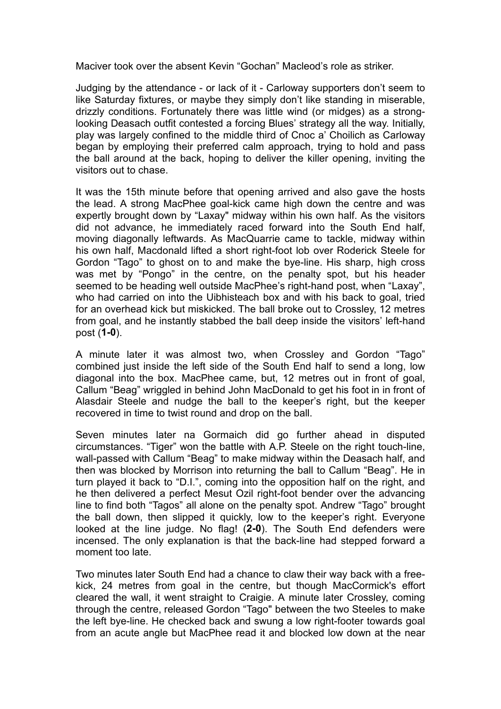Maciver took over the absent Kevin "Gochan" Macleod's role as striker.

Judging by the attendance - or lack of it - Carloway supporters don't seem to like Saturday fixtures, or maybe they simply don't like standing in miserable, drizzly conditions. Fortunately there was little wind (or midges) as a stronglooking Deasach outfit contested a forcing Blues' strategy all the way. Initially, play was largely confined to the middle third of Cnoc a' Choilich as Carloway began by employing their preferred calm approach, trying to hold and pass the ball around at the back, hoping to deliver the killer opening, inviting the visitors out to chase.

It was the 15th minute before that opening arrived and also gave the hosts the lead. A strong MacPhee goal-kick came high down the centre and was expertly brought down by "Laxay" midway within his own half. As the visitors did not advance, he immediately raced forward into the South End half, moving diagonally leftwards. As MacQuarrie came to tackle, midway within his own half, Macdonald lifted a short right-foot lob over Roderick Steele for Gordon "Tago" to ghost on to and make the bye-line. His sharp, high cross was met by "Pongo" in the centre, on the penalty spot, but his header seemed to be heading well outside MacPhee's right-hand post, when "Laxay", who had carried on into the Uibhisteach box and with his back to goal, tried for an overhead kick but miskicked. The ball broke out to Crossley, 12 metres from goal, and he instantly stabbed the ball deep inside the visitors' left-hand post (**1-0**).

A minute later it was almost two, when Crossley and Gordon "Tago" combined just inside the left side of the South End half to send a long, low diagonal into the box. MacPhee came, but, 12 metres out in front of goal, Callum "Beag" wriggled in behind John MacDonald to get his foot in in front of Alasdair Steele and nudge the ball to the keeper's right, but the keeper recovered in time to twist round and drop on the ball.

Seven minutes later na Gormaich did go further ahead in disputed circumstances. "Tiger" won the battle with A.P. Steele on the right touch-line, wall-passed with Callum "Beag" to make midway within the Deasach half, and then was blocked by Morrison into returning the ball to Callum "Beag". He in turn played it back to "D.I.", coming into the opposition half on the right, and he then delivered a perfect Mesut Ozil right-foot bender over the advancing line to find both "Tagos" all alone on the penalty spot. Andrew "Tago" brought the ball down, then slipped it quickly, low to the keeper's right. Everyone looked at the line judge. No flag! (**2-0**). The South End defenders were incensed. The only explanation is that the back-line had stepped forward a moment too late.

Two minutes later South End had a chance to claw their way back with a freekick, 24 metres from goal in the centre, but though MacCormick's effort cleared the wall, it went straight to Craigie. A minute later Crossley, coming through the centre, released Gordon "Tago" between the two Steeles to make the left bye-line. He checked back and swung a low right-footer towards goal from an acute angle but MacPhee read it and blocked low down at the near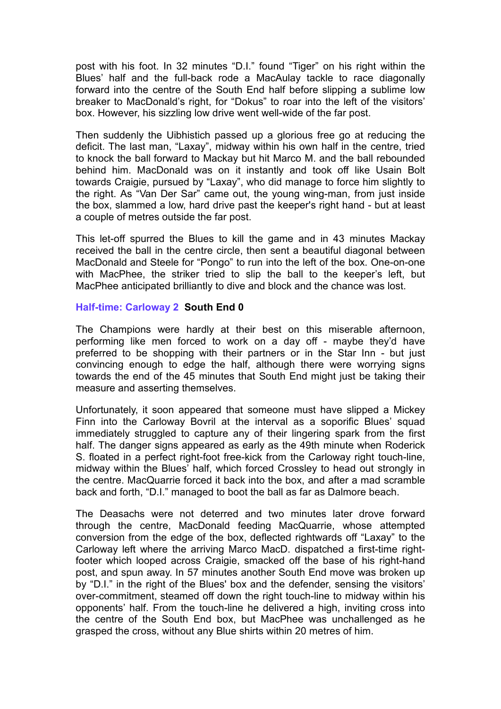post with his foot. In 32 minutes "D.I." found "Tiger" on his right within the Blues' half and the full-back rode a MacAulay tackle to race diagonally forward into the centre of the South End half before slipping a sublime low breaker to MacDonald's right, for "Dokus" to roar into the left of the visitors' box. However, his sizzling low drive went well-wide of the far post.

Then suddenly the Uibhistich passed up a glorious free go at reducing the deficit. The last man, "Laxay", midway within his own half in the centre, tried to knock the ball forward to Mackay but hit Marco M. and the ball rebounded behind him. MacDonald was on it instantly and took off like Usain Bolt towards Craigie, pursued by "Laxay", who did manage to force him slightly to the right. As "Van Der Sar" came out, the young wing-man, from just inside the box, slammed a low, hard drive past the keeper's right hand - but at least a couple of metres outside the far post.

This let-off spurred the Blues to kill the game and in 43 minutes Mackay received the ball in the centre circle, then sent a beautiful diagonal between MacDonald and Steele for "Pongo" to run into the left of the box. One-on-one with MacPhee, the striker tried to slip the ball to the keeper's left, but MacPhee anticipated brilliantly to dive and block and the chance was lost.

## **Half-time: Carloway 2 South End 0**

The Champions were hardly at their best on this miserable afternoon, performing like men forced to work on a day off - maybe they'd have preferred to be shopping with their partners or in the Star Inn - but just convincing enough to edge the half, although there were worrying signs towards the end of the 45 minutes that South End might just be taking their measure and asserting themselves.

Unfortunately, it soon appeared that someone must have slipped a Mickey Finn into the Carloway Bovril at the interval as a soporific Blues' squad immediately struggled to capture any of their lingering spark from the first half. The danger signs appeared as early as the 49th minute when Roderick S. floated in a perfect right-foot free-kick from the Carloway right touch-line, midway within the Blues' half, which forced Crossley to head out strongly in the centre. MacQuarrie forced it back into the box, and after a mad scramble back and forth, "D.I." managed to boot the ball as far as Dalmore beach.

The Deasachs were not deterred and two minutes later drove forward through the centre, MacDonald feeding MacQuarrie, whose attempted conversion from the edge of the box, deflected rightwards off "Laxay" to the Carloway left where the arriving Marco MacD. dispatched a first-time rightfooter which looped across Craigie, smacked off the base of his right-hand post, and spun away. In 57 minutes another South End move was broken up by "D.I." in the right of the Blues' box and the defender, sensing the visitors' over-commitment, steamed off down the right touch-line to midway within his opponents' half. From the touch-line he delivered a high, inviting cross into the centre of the South End box, but MacPhee was unchallenged as he grasped the cross, without any Blue shirts within 20 metres of him.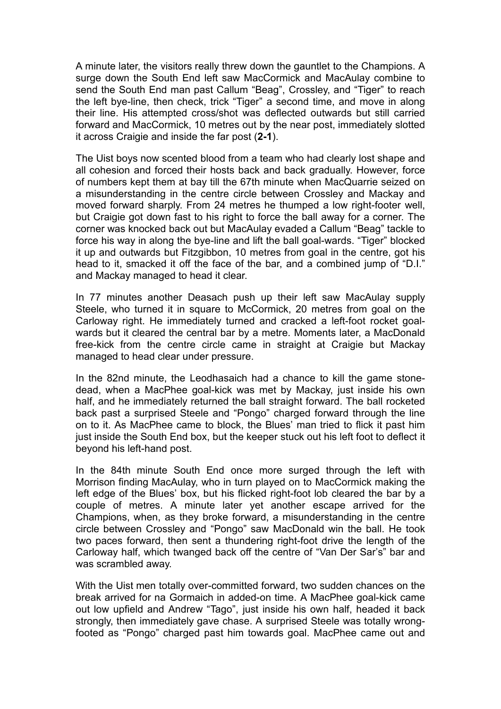A minute later, the visitors really threw down the gauntlet to the Champions. A surge down the South End left saw MacCormick and MacAulay combine to send the South End man past Callum "Beag", Crossley, and "Tiger" to reach the left bye-line, then check, trick "Tiger" a second time, and move in along their line. His attempted cross/shot was deflected outwards but still carried forward and MacCormick, 10 metres out by the near post, immediately slotted it across Craigie and inside the far post (**2-1**).

The Uist boys now scented blood from a team who had clearly lost shape and all cohesion and forced their hosts back and back gradually. However, force of numbers kept them at bay till the 67th minute when MacQuarrie seized on a misunderstanding in the centre circle between Crossley and Mackay and moved forward sharply. From 24 metres he thumped a low right-footer well, but Craigie got down fast to his right to force the ball away for a corner. The corner was knocked back out but MacAulay evaded a Callum "Beag" tackle to force his way in along the bye-line and lift the ball goal-wards. "Tiger" blocked it up and outwards but Fitzgibbon, 10 metres from goal in the centre, got his head to it, smacked it off the face of the bar, and a combined jump of "D.I." and Mackay managed to head it clear.

In 77 minutes another Deasach push up their left saw MacAulay supply Steele, who turned it in square to McCormick, 20 metres from goal on the Carloway right. He immediately turned and cracked a left-foot rocket goalwards but it cleared the central bar by a metre. Moments later, a MacDonald free-kick from the centre circle came in straight at Craigie but Mackay managed to head clear under pressure.

In the 82nd minute, the Leodhasaich had a chance to kill the game stonedead, when a MacPhee goal-kick was met by Mackay, just inside his own half, and he immediately returned the ball straight forward. The ball rocketed back past a surprised Steele and "Pongo" charged forward through the line on to it. As MacPhee came to block, the Blues' man tried to flick it past him just inside the South End box, but the keeper stuck out his left foot to deflect it beyond his left-hand post.

In the 84th minute South End once more surged through the left with Morrison finding MacAulay, who in turn played on to MacCormick making the left edge of the Blues' box, but his flicked right-foot lob cleared the bar by a couple of metres. A minute later yet another escape arrived for the Champions, when, as they broke forward, a misunderstanding in the centre circle between Crossley and "Pongo" saw MacDonald win the ball. He took two paces forward, then sent a thundering right-foot drive the length of the Carloway half, which twanged back off the centre of "Van Der Sar's" bar and was scrambled away.

With the Uist men totally over-committed forward, two sudden chances on the break arrived for na Gormaich in added-on time. A MacPhee goal-kick came out low upfield and Andrew "Tago", just inside his own half, headed it back strongly, then immediately gave chase. A surprised Steele was totally wrongfooted as "Pongo" charged past him towards goal. MacPhee came out and